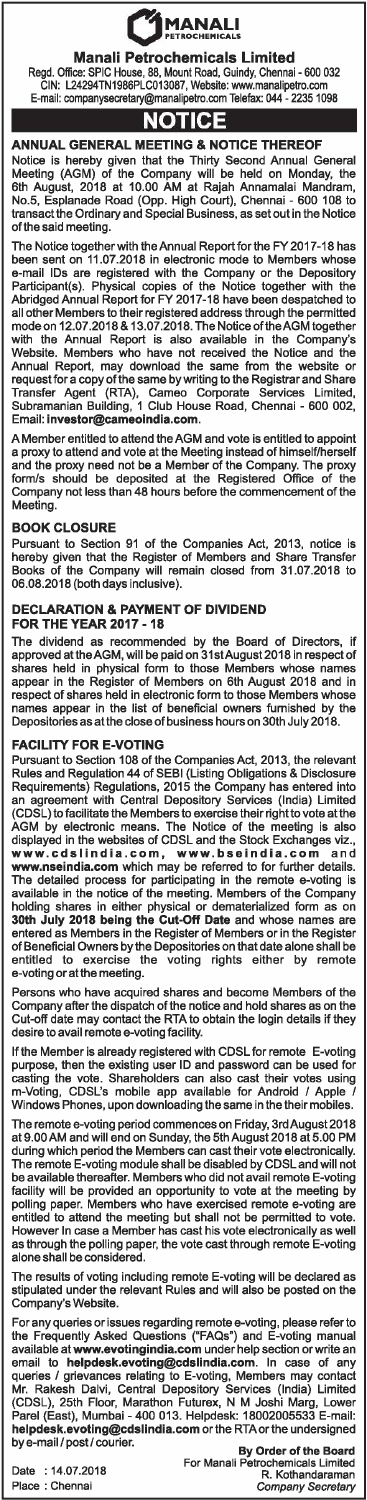# $\bigcirc$  MANALI

# Manali Petrochemicals Limited

Regd. Office: SPIC House, 88, Mount Road, Guindy, Chennai - 600 032 GIN: L24294TN1986PLC013087, Website: www.manalipetro.com E-mail: companysecretary@manalipetro.com Telefax: 044 - 2235 1098

# **NOTICE**

### ANNUAL GENERAL MEETING & NOTICE THEREOF

Notice is hereby given that the Thirty Second Annual General Meeting (AGM) of the Company will be held on Monday, the 6th August, 2018 at 10.00 AM at Rajah Annamalai Mandram, No.5, Esplanade Road (Opp. High Court), Chennai - 600 108 to transact the Ordinary and Special Business, as set out in the Notice of the said meeting.

The Notice together with the Annual Report for the FY 2017-18 has been sent on 11.07.2018 in electronic mode to Members whose e-mail IDs are registered with the Company or the Depository Participant(s). Physical copies of the Notice together with the Abridged Annual Report for FY 2017-18 have been despatched to all other Members to their registered address through the permitted mode on 12.07 .2018 & 13.07.2018. The Notice oftheAGM together with the Annual Report is also available in the Company's Website. Members who have not received the Notice and the Annual Report, may download the same from the website or request for a copy of the same by writing to the Registrar and Share Transfer Agent (RTA), Cameo Corporate Services Limited, Subramanian Building, 1 Club House Road, Chennai - 600 002, Email: **investor@cameoindia.co** 

A Member entitled to attend the AGM and vote is entitled to appoint a proxy to attend and vote at the Meeting instead of himself/herself and the proxy need not be a Member of the Company. The proxy form/s should be deposited at the Registered Office of the Company not less than 48 hours before the commencement of the Meeting.

### BOOK CLOSURE

Pursuant to Section 91 of the Companies Act, 2013, notice is hereby given that the Register of Members and Share Transfer Books of the Company will remain closed from 31.07.2018 to 06.08.2018 (both days inclusive).

#### DECLARATION & PAYMENT OF DIVIDEND FOR THE YEAR 2017 - 18

The dividend as recommended by the Board of Directors, if approved at the AGM, will be paid on 31st August 2018 in respect of shares held in physical form to those Members whose names appear in the Register of Members on 6th August 2018 and in respect of shares held in electronic form to those Members whose names appear in the list of beneficial owners furnished by the Depositories as at the close of business hours on 30th July 2018.

#### FACILITY FOR E-VOTING

Pursuant to Section 108 of the Companies Act, 2013, the relevant Rules and Regulation 44 of SEBI (Listing Obligations & Disclosure Requirements) Regulations, 2015 the Company has entered into an agreement with Central Depository Services (India) Limited (CDSL) to facilitate the Members to exercise their right to vote at the AGM by electronic means. The Notice of the meeting is also displayed in the websites of CDSL and the Stock Exchanges viz., www.cdslindia.com, www.bseindia.com and www.nseindia.com which may be referred to for further details. The detailed process for participating in the remote e-voting is available in the notice of the meeting. Members of the Company holding shares in either physical or dematerialized form as on<br>**30th July 2018 being the Cut-Off Date** and whose names are entered as Members in the Register of Members or in the Register of Beneficial Owners by the Depositories on that date alone shall be entitled to exercise the voling rights either by remote e-voting or at the meeting.

Persons who have acquired shares and become Members of the Company after the dispatch of the notice and hold shares as on the Cut-off date may contact the RTA to obtain the login details if they desire to avail remote e-voling facility.

If the Member is already registered with CDSL for remote E-voting purpose, then the existing user ID and password can be used for casting the vote. Shareholders can also cast their votes using m-Voting, CDSL's mobile app available for Android *I* Apple *I*  Musing the CDSL's mobile app available for Android / Apple<br>m-Voting, CDSL's mobile app available for Android / Apple

The remote e-voling period commences on Friday, 3rd August 2018 at 9.00 AM and will end on Sunday, the 5th August 2018 at 5.00 PM during which period the Members can cast their vote electronically. The remote E-voting module shall be disabled by CDSL and will not be available thereafter. Members who did not avail remote E-voling facility will be provided an opportunity to vote at the meeting by polling paper. Members who have exercised remote e-voting are entitled to attend the meeting but shall not be permitted to vote. However In case a Member has cast his vote electronically as well as through the polling paper, the vote cast through remote E-voting alone shall be considered.

The results of voling including remote E-voting will be declared as stipulated under the relevant Rules and will also be posted on the Company's Website.

For any queries or issues regarding remote e-voling, please refer to the Frequently Asked Questions ("FAQs") and E-voling manual available at www.evotingindia.com under help section or write an email to **helpdesk.evoting@cdslindia.com**. In case of any<br>queries / grievances relating to E-voting, Members may contact<br>Mr. Rakesh Dalvi, Central Depository Services (India) Limited (CDSL), 25th Floor, Marathon Futurex, N M Joshi Marg, Lower Parel (East), Mumbai - 400 013. Helpdesk: 18002005533 E-mail: helpdesk.evoting@cdslindia.com or the RTA or the undersigned by e-mail *I* post *I* courier.

Date : 14.07.2018 Place : Chennai

By Order of the Board For Manali Petrochemicals Limited R. Kothandaraman *Company* Secretary